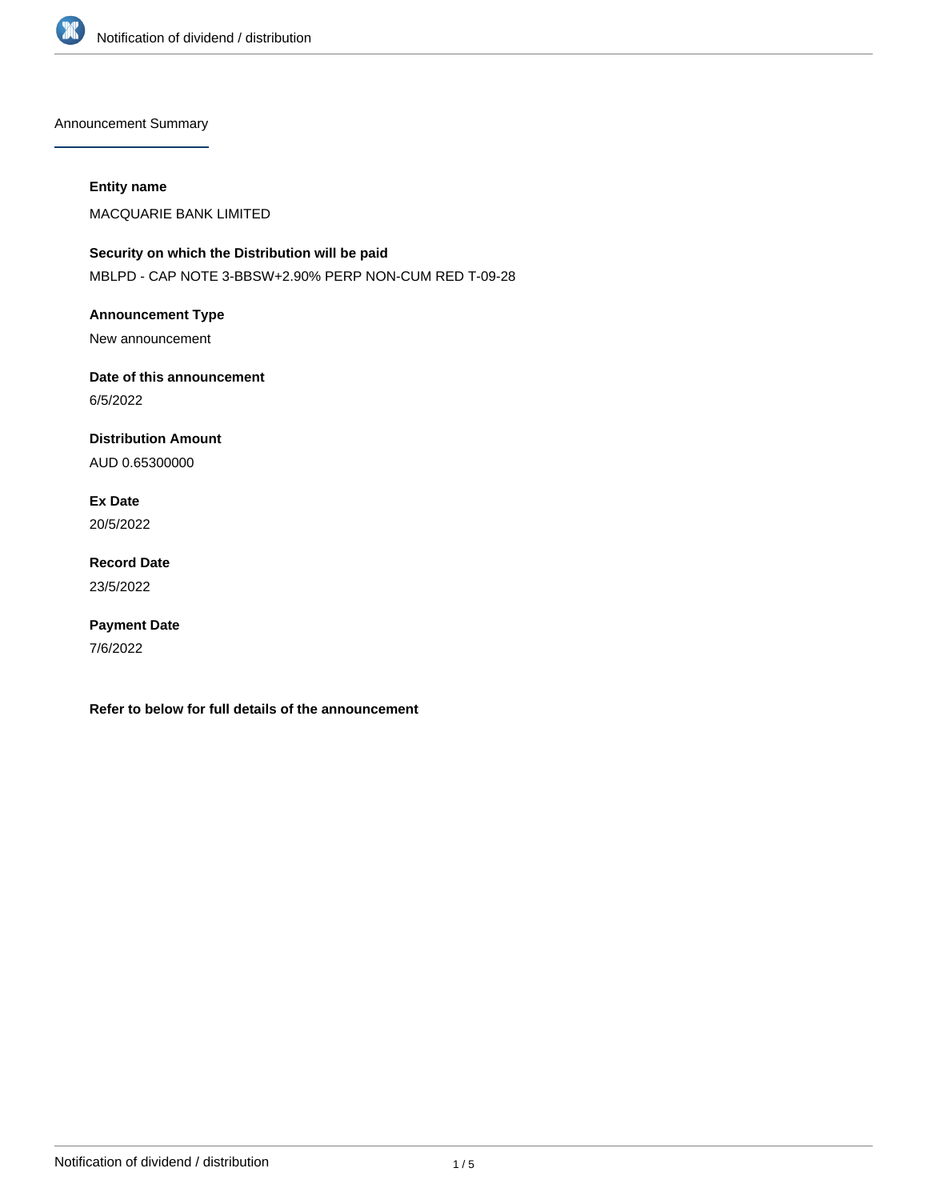

Announcement Summary

### **Entity name**

MACQUARIE BANK LIMITED

# **Security on which the Distribution will be paid** MBLPD - CAP NOTE 3-BBSW+2.90% PERP NON-CUM RED T-09-28

**Announcement Type** New announcement

**Date of this announcement**

6/5/2022

**Distribution Amount**

AUD 0.65300000

**Ex Date** 20/5/2022

**Record Date** 23/5/2022

**Payment Date** 7/6/2022

**Refer to below for full details of the announcement**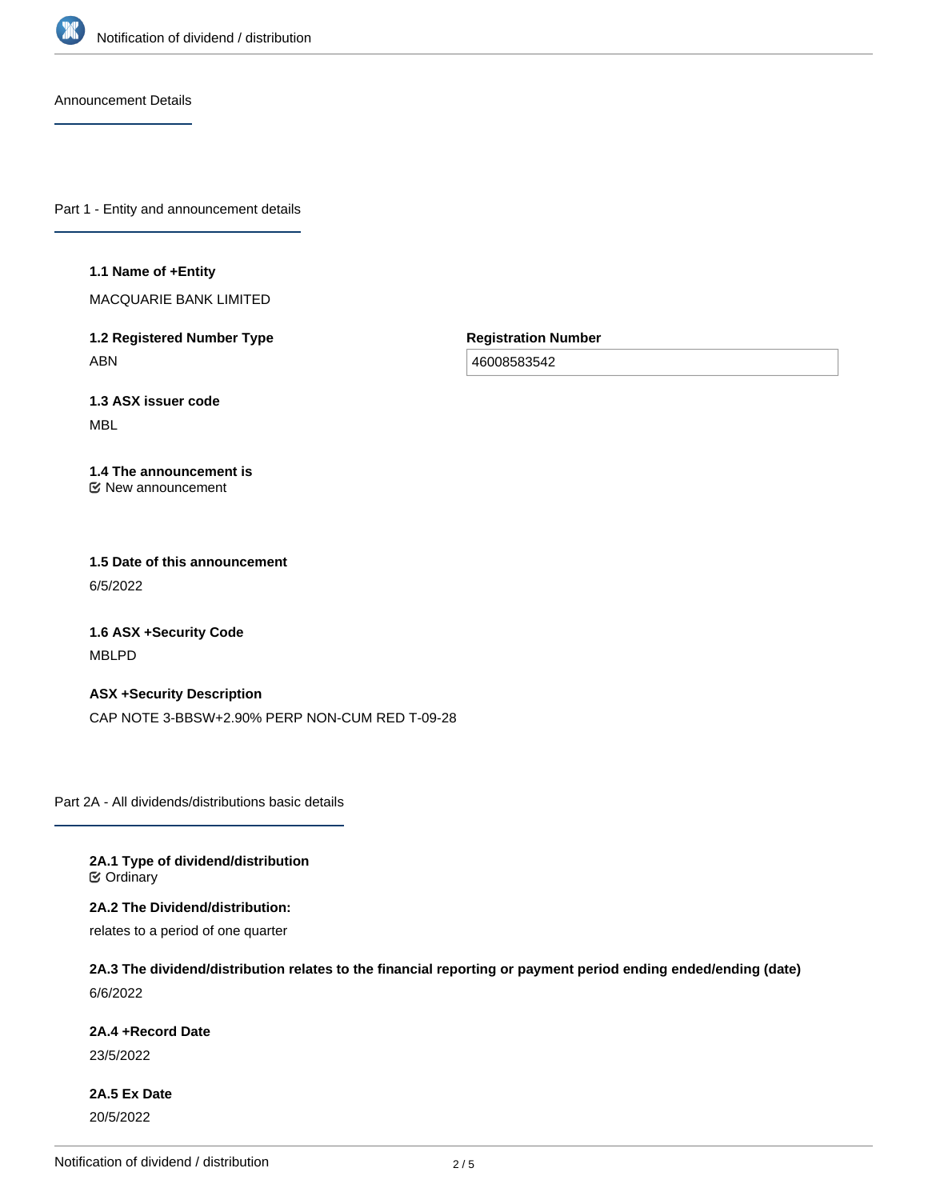

Announcement Details

Part 1 - Entity and announcement details

#### **1.1 Name of +Entity**

MACQUARIE BANK LIMITED

**1.2 Registered Number Type** ABN

**Registration Number**

46008583542

**1.3 ASX issuer code** MBL

#### **1.4 The announcement is** New announcement

**1.5 Date of this announcement** 6/5/2022

**1.6 ASX +Security Code** MBLPD

**ASX +Security Description** CAP NOTE 3-BBSW+2.90% PERP NON-CUM RED T-09-28

Part 2A - All dividends/distributions basic details

**2A.1 Type of dividend/distribution C** Ordinary

**2A.2 The Dividend/distribution:**

relates to a period of one quarter

**2A.3 The dividend/distribution relates to the financial reporting or payment period ending ended/ending (date)** 6/6/2022

**2A.4 +Record Date**

23/5/2022

**2A.5 Ex Date** 20/5/2022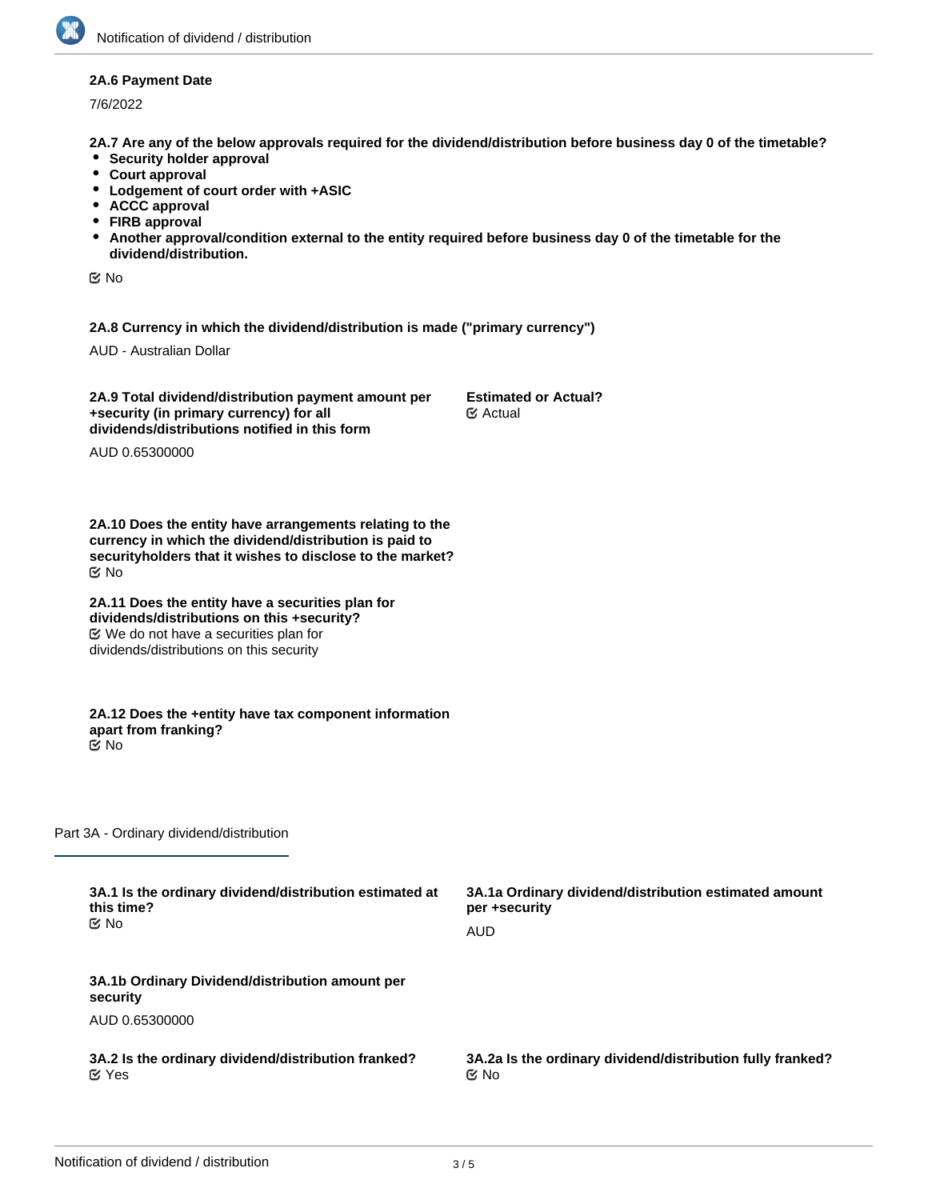#### **2A.6 Payment Date**

7/6/2022

**2A.7 Are any of the below approvals required for the dividend/distribution before business day 0 of the timetable?**

- **•** Security holder approval
- **Court approval**
- **Lodgement of court order with +ASIC**
- **ACCC approval**
- **FIRB approval**
- **Another approval/condition external to the entity required before business day 0 of the timetable for the dividend/distribution.**

No

**2A.8 Currency in which the dividend/distribution is made ("primary currency")**

AUD - Australian Dollar

**2A.9 Total dividend/distribution payment amount per +security (in primary currency) for all dividends/distributions notified in this form**

**Estimated or Actual?** Actual

AUD 0.65300000

**2A.10 Does the entity have arrangements relating to the currency in which the dividend/distribution is paid to securityholders that it wishes to disclose to the market?** No

**2A.11 Does the entity have a securities plan for dividends/distributions on this +security?** We do not have a securities plan for dividends/distributions on this security

**2A.12 Does the +entity have tax component information apart from franking?** No

Part 3A - Ordinary dividend/distribution

| 3A.1 Is the ordinary dividend/distribution estimated at     | 3A.1a Ordinary dividend/distribution estimated amount      |
|-------------------------------------------------------------|------------------------------------------------------------|
| this time?                                                  | per +security                                              |
| ় No                                                        | AUD                                                        |
| 3A.1b Ordinary Dividend/distribution amount per<br>security |                                                            |
| AUD 0.65300000                                              |                                                            |
| 3A.2 Is the ordinary dividend/distribution franked?         | 3A.2a Is the ordinary dividend/distribution fully franked? |
| $\mathfrak{C}$ Yes                                          | ় No                                                       |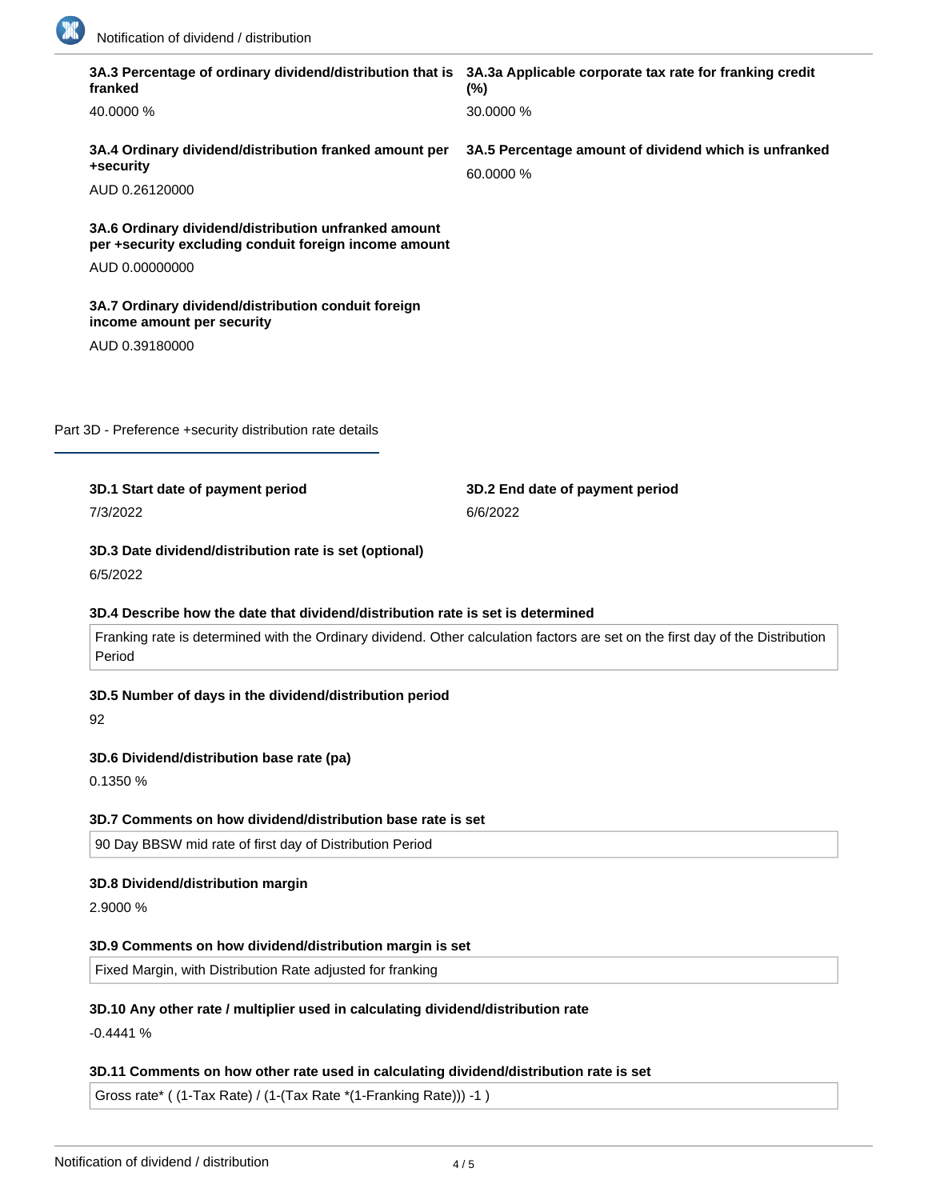

|    | 40.0000 %                                                                                                     | 30.0000 %                                                                                                                      |
|----|---------------------------------------------------------------------------------------------------------------|--------------------------------------------------------------------------------------------------------------------------------|
|    |                                                                                                               |                                                                                                                                |
|    | 3A.4 Ordinary dividend/distribution franked amount per<br>+security                                           | 3A.5 Percentage amount of dividend which is unfranked<br>60.0000 %                                                             |
|    | AUD 0.26120000                                                                                                |                                                                                                                                |
|    | 3A.6 Ordinary dividend/distribution unfranked amount<br>per +security excluding conduit foreign income amount |                                                                                                                                |
|    | AUD 0.00000000                                                                                                |                                                                                                                                |
|    | 3A.7 Ordinary dividend/distribution conduit foreign<br>income amount per security                             |                                                                                                                                |
|    | AUD 0.39180000                                                                                                |                                                                                                                                |
|    |                                                                                                               |                                                                                                                                |
|    |                                                                                                               |                                                                                                                                |
|    | Part 3D - Preference +security distribution rate details                                                      |                                                                                                                                |
|    | 3D.1 Start date of payment period                                                                             | 3D.2 End date of payment period                                                                                                |
|    | 7/3/2022                                                                                                      | 6/6/2022                                                                                                                       |
|    |                                                                                                               |                                                                                                                                |
|    | 3D.3 Date dividend/distribution rate is set (optional)<br>6/5/2022                                            |                                                                                                                                |
|    |                                                                                                               |                                                                                                                                |
|    | 3D.4 Describe how the date that dividend/distribution rate is set is determined                               |                                                                                                                                |
|    | Period                                                                                                        | Franking rate is determined with the Ordinary dividend. Other calculation factors are set on the first day of the Distribution |
|    | 3D.5 Number of days in the dividend/distribution period                                                       |                                                                                                                                |
| 92 |                                                                                                               |                                                                                                                                |
|    | 3D.6 Dividend/distribution base rate (pa)                                                                     |                                                                                                                                |
|    | 0.1350 %                                                                                                      |                                                                                                                                |
|    | 3D.7 Comments on how dividend/distribution base rate is set                                                   |                                                                                                                                |
|    | 90 Day BBSW mid rate of first day of Distribution Period                                                      |                                                                                                                                |
|    |                                                                                                               |                                                                                                                                |
|    | 3D.8 Dividend/distribution margin                                                                             |                                                                                                                                |
|    | 2.9000 %                                                                                                      |                                                                                                                                |
|    | 3D.9 Comments on how dividend/distribution margin is set                                                      |                                                                                                                                |
|    | Fixed Margin, with Distribution Rate adjusted for franking                                                    |                                                                                                                                |

# **3D.11 Comments on how other rate used in calculating dividend/distribution rate is set**

Gross rate\* ( (1-Tax Rate) / (1-(Tax Rate \*(1-Franking Rate))) -1 )

**3D.12 Total dividend/distribution rate for the period (pa)**